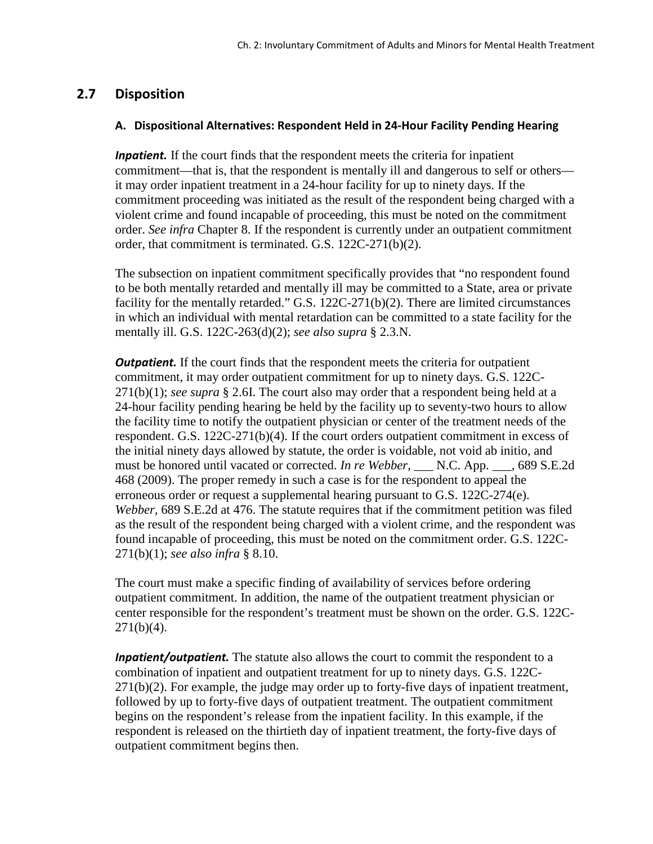# **2.7 Disposition**

#### **A. Dispositional Alternatives: Respondent Held in 24-Hour Facility Pending Hearing**

*Inpatient.* If the court finds that the respondent meets the criteria for inpatient commitment—that is, that the respondent is mentally ill and dangerous to self or others it may order inpatient treatment in a 24-hour facility for up to ninety days. If the commitment proceeding was initiated as the result of the respondent being charged with a violent crime and found incapable of proceeding, this must be noted on the commitment order. *See infra* Chapter 8. If the respondent is currently under an outpatient commitment order, that commitment is terminated. G.S. 122C-271(b)(2).

The subsection on inpatient commitment specifically provides that "no respondent found to be both mentally retarded and mentally ill may be committed to a State, area or private facility for the mentally retarded." G.S. 122C-271(b)(2). There are limited circumstances in which an individual with mental retardation can be committed to a state facility for the mentally ill. G.S. 122C-263(d)(2); *see also supra* § 2.3.N.

**Outpatient.** If the court finds that the respondent meets the criteria for outpatient commitment, it may order outpatient commitment for up to ninety days. G.S. 122C-271(b)(1); *see supra* § 2.6I. The court also may order that a respondent being held at a 24-hour facility pending hearing be held by the facility up to seventy-two hours to allow the facility time to notify the outpatient physician or center of the treatment needs of the respondent. G.S. 122C-271(b)(4). If the court orders outpatient commitment in excess of the initial ninety days allowed by statute, the order is voidable, not void ab initio*,* and must be honored until vacated or corrected. *In re Webber*, \_\_\_ N.C. App. \_\_\_, 689 S.E.2d 468 (2009). The proper remedy in such a case is for the respondent to appeal the erroneous order or request a supplemental hearing pursuant to G.S. 122C-274(e). *Webber,* 689 S.E.2d at 476. The statute requires that if the commitment petition was filed as the result of the respondent being charged with a violent crime, and the respondent was found incapable of proceeding, this must be noted on the commitment order. G.S. 122C-271(b)(1); *see also infra* § 8.10.

The court must make a specific finding of availability of services before ordering outpatient commitment. In addition, the name of the outpatient treatment physician or center responsible for the respondent's treatment must be shown on the order. G.S. 122C- $271(b)(4)$ .

*Inpatient/outpatient.* The statute also allows the court to commit the respondent to a combination of inpatient and outpatient treatment for up to ninety days. G.S. 122C- $271(b)(2)$ . For example, the judge may order up to forty-five days of inpatient treatment, followed by up to forty-five days of outpatient treatment. The outpatient commitment begins on the respondent's release from the inpatient facility. In this example, if the respondent is released on the thirtieth day of inpatient treatment, the forty-five days of outpatient commitment begins then.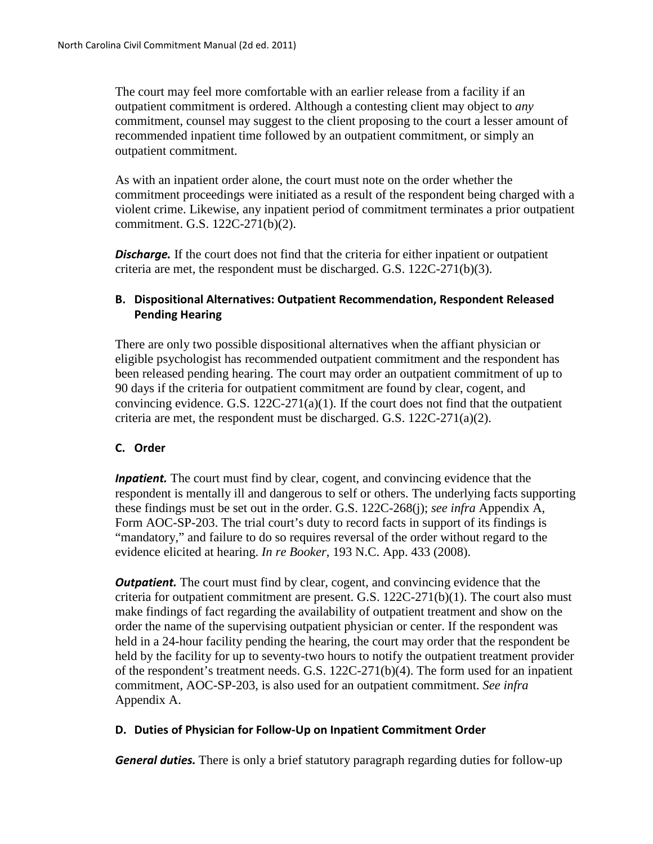The court may feel more comfortable with an earlier release from a facility if an outpatient commitment is ordered. Although a contesting client may object to *any* commitment, counsel may suggest to the client proposing to the court a lesser amount of recommended inpatient time followed by an outpatient commitment, or simply an outpatient commitment.

As with an inpatient order alone, the court must note on the order whether the commitment proceedings were initiated as a result of the respondent being charged with a violent crime. Likewise, any inpatient period of commitment terminates a prior outpatient commitment. G.S. 122C-271(b)(2).

**Discharge.** If the court does not find that the criteria for either inpatient or outpatient criteria are met, the respondent must be discharged. G.S. 122C-271(b)(3).

## **B. Dispositional Alternatives: Outpatient Recommendation, Respondent Released Pending Hearing**

There are only two possible dispositional alternatives when the affiant physician or eligible psychologist has recommended outpatient commitment and the respondent has been released pending hearing. The court may order an outpatient commitment of up to 90 days if the criteria for outpatient commitment are found by clear, cogent, and convincing evidence. G.S. 122C-271(a)(1). If the court does not find that the outpatient criteria are met, the respondent must be discharged. G.S. 122C-271(a)(2).

### **C. Order**

*Inpatient*. The court must find by clear, cogent, and convincing evidence that the respondent is mentally ill and dangerous to self or others. The underlying facts supporting these findings must be set out in the order. G.S. 122C-268(j); *see infra* Appendix A, Form AOC-SP-203. The trial court's duty to record facts in support of its findings is "mandatory," and failure to do so requires reversal of the order without regard to the evidence elicited at hearing. *In re Booker*, 193 N.C. App. 433 (2008).

**Outpatient.** The court must find by clear, cogent, and convincing evidence that the criteria for outpatient commitment are present. G.S. 122C-271(b)(1). The court also must make findings of fact regarding the availability of outpatient treatment and show on the order the name of the supervising outpatient physician or center. If the respondent was held in a 24-hour facility pending the hearing, the court may order that the respondent be held by the facility for up to seventy-two hours to notify the outpatient treatment provider of the respondent's treatment needs. G.S. 122C-271(b)(4). The form used for an inpatient commitment, AOC-SP-203, is also used for an outpatient commitment. *See infra*  Appendix A.

### **D. Duties of Physician for Follow-Up on Inpatient Commitment Order**

*General duties.* There is only a brief statutory paragraph regarding duties for follow-up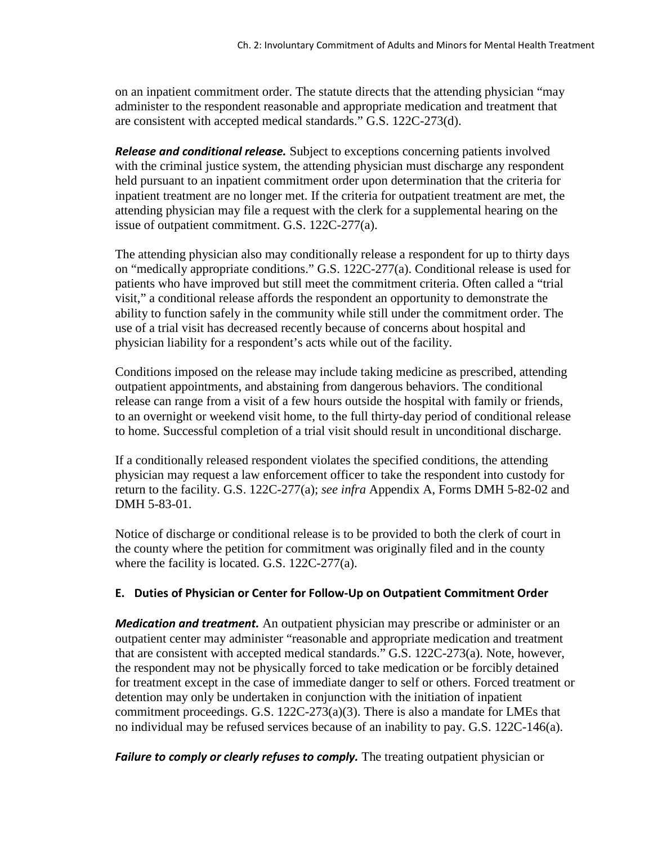on an inpatient commitment order. The statute directs that the attending physician "may administer to the respondent reasonable and appropriate medication and treatment that are consistent with accepted medical standards." G.S. 122C-273(d).

*Release and conditional release.* Subject to exceptions concerning patients involved with the criminal justice system, the attending physician must discharge any respondent held pursuant to an inpatient commitment order upon determination that the criteria for inpatient treatment are no longer met. If the criteria for outpatient treatment are met, the attending physician may file a request with the clerk for a supplemental hearing on the issue of outpatient commitment. G.S. 122C-277(a).

The attending physician also may conditionally release a respondent for up to thirty days on "medically appropriate conditions." G.S. 122C-277(a). Conditional release is used for patients who have improved but still meet the commitment criteria. Often called a "trial visit," a conditional release affords the respondent an opportunity to demonstrate the ability to function safely in the community while still under the commitment order. The use of a trial visit has decreased recently because of concerns about hospital and physician liability for a respondent's acts while out of the facility.

Conditions imposed on the release may include taking medicine as prescribed, attending outpatient appointments, and abstaining from dangerous behaviors. The conditional release can range from a visit of a few hours outside the hospital with family or friends, to an overnight or weekend visit home, to the full thirty-day period of conditional release to home. Successful completion of a trial visit should result in unconditional discharge.

If a conditionally released respondent violates the specified conditions, the attending physician may request a law enforcement officer to take the respondent into custody for return to the facility. G.S. 122C-277(a); *see infra* Appendix A, Forms DMH 5-82-02 and DMH 5-83-01.

Notice of discharge or conditional release is to be provided to both the clerk of court in the county where the petition for commitment was originally filed and in the county where the facility is located. G.S. 122C-277(a).

### **E. Duties of Physician or Center for Follow-Up on Outpatient Commitment Order**

*Medication and treatment.* An outpatient physician may prescribe or administer or an outpatient center may administer "reasonable and appropriate medication and treatment that are consistent with accepted medical standards." G.S. 122C-273(a). Note, however, the respondent may not be physically forced to take medication or be forcibly detained for treatment except in the case of immediate danger to self or others. Forced treatment or detention may only be undertaken in conjunction with the initiation of inpatient commitment proceedings. G.S. 122C-273(a)(3). There is also a mandate for LMEs that no individual may be refused services because of an inability to pay. G.S. 122C-146(a).

*Failure to comply or clearly refuses to comply.* The treating outpatient physician or